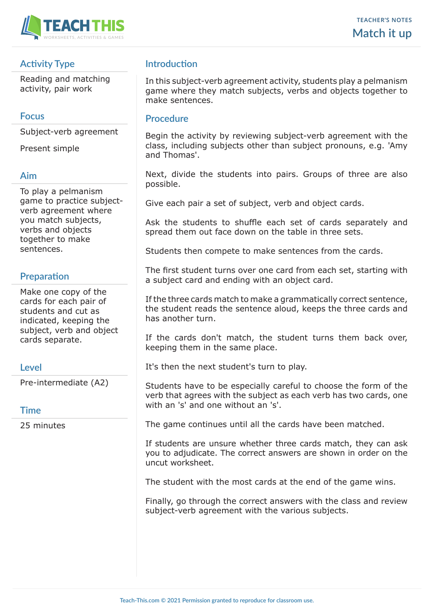

## **Activity Type**

Reading and matching activity, pair work

#### **Focus**

Subject-verb agreement

Present simple

#### **Aim**

To play a pelmanism game to practice subjectverb agreement where you match subjects, verbs and objects together to make sentences.

## **Preparation**

Make one copy of the cards for each pair of students and cut as indicated, keeping the subject, verb and object cards separate.

### **Level**

Pre-intermediate (A2)

### **Time**

25 minutes

# **Introduction**

In this subject-verb agreement activity, students play a pelmanism game where they match subjects, verbs and objects together to make sentences.

#### **Procedure**

Begin the activity by reviewing subject-verb agreement with the class, including subjects other than subject pronouns, e.g. 'Amy and Thomas'.

Next, divide the students into pairs. Groups of three are also possible.

Give each pair a set of subject, verb and object cards.

Ask the students to shuffle each set of cards separately and spread them out face down on the table in three sets.

Students then compete to make sentences from the cards.

The first student turns over one card from each set, starting with a subject card and ending with an object card.

If the three cards match to make a grammatically correct sentence, the student reads the sentence aloud, keeps the three cards and has another turn.

If the cards don't match, the student turns them back over, keeping them in the same place.

It's then the next student's turn to play.

Students have to be especially careful to choose the form of the verb that agrees with the subject as each verb has two cards, one with an 's' and one without an 's'.

The game continues until all the cards have been matched.

If students are unsure whether three cards match, they can ask you to adjudicate. The correct answers are shown in order on the uncut worksheet.

The student with the most cards at the end of the game wins.

Finally, go through the correct answers with the class and review subject-verb agreement with the various subjects.